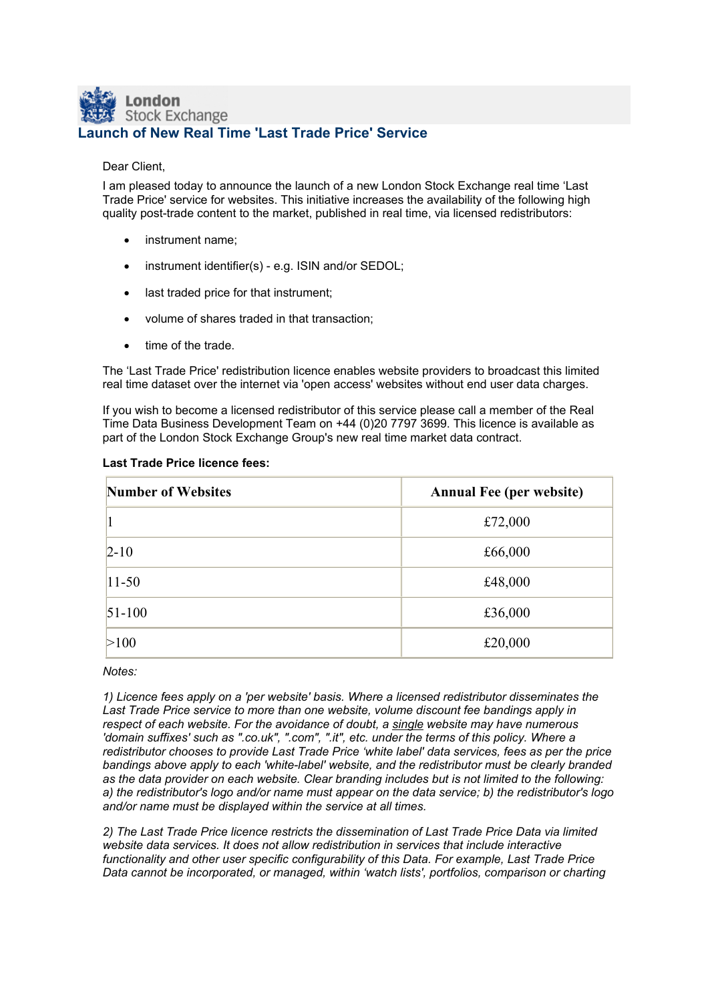## London **Stock Exchange Launch of New Real Time 'Last Trade Price' Service**

## Dear Client,

I am pleased today to announce the launch of a new London Stock Exchange real time 'Last Trade Price' service for websites. This initiative increases the availability of the following high quality post-trade content to the market, published in real time, via licensed redistributors:

- instrument name:
- instrument identifier(s) e.g. ISIN and/or SEDOL;
- last traded price for that instrument;
- volume of shares traded in that transaction;
- time of the trade.

The 'Last Trade Price' redistribution licence enables website providers to broadcast this limited real time dataset over the internet via 'open access' websites without end user data charges.

If you wish to become a licensed redistributor of this service please call a member of the Real Time Data Business Development Team on +44 (0)20 7797 3699. This licence is available as part of the London Stock Exchange Group's new real time market data contract.

| <b>Number of Websites</b> | <b>Annual Fee (per website)</b> |
|---------------------------|---------------------------------|
|                           | £72,000                         |
| $2 - 10$                  | £66,000                         |
| $11 - 50$                 | £48,000                         |
| $51 - 100$                | £36,000                         |
| >100                      | £20,000                         |

## **Last Trade Price licence fees:**

*Notes:*

*1) Licence fees apply on a 'per website' basis. Where a licensed redistributor disseminates the Last Trade Price service to more than one website, volume discount fee bandings apply in respect of each website. For the avoidance of doubt, a single website may have numerous 'domain suffixes' such as ".co.uk", ".com", ".it", etc. under the terms of this policy. Where a redistributor chooses to provide Last Trade Price 'white label' data services, fees as per the price bandings above apply to each 'white-label' website, and the redistributor must be clearly branded as the data provider on each website. Clear branding includes but is not limited to the following: a) the redistributor's logo and/or name must appear on the data service; b) the redistributor's logo and/or name must be displayed within the service at all times.*

*2) The Last Trade Price licence restricts the dissemination of Last Trade Price Data via limited*  website data services. It does not allow redistribution in services that include interactive *functionality and other user specific configurability of this Data. For example, Last Trade Price Data cannot be incorporated, or managed, within 'watch lists', portfolios, comparison or charting*